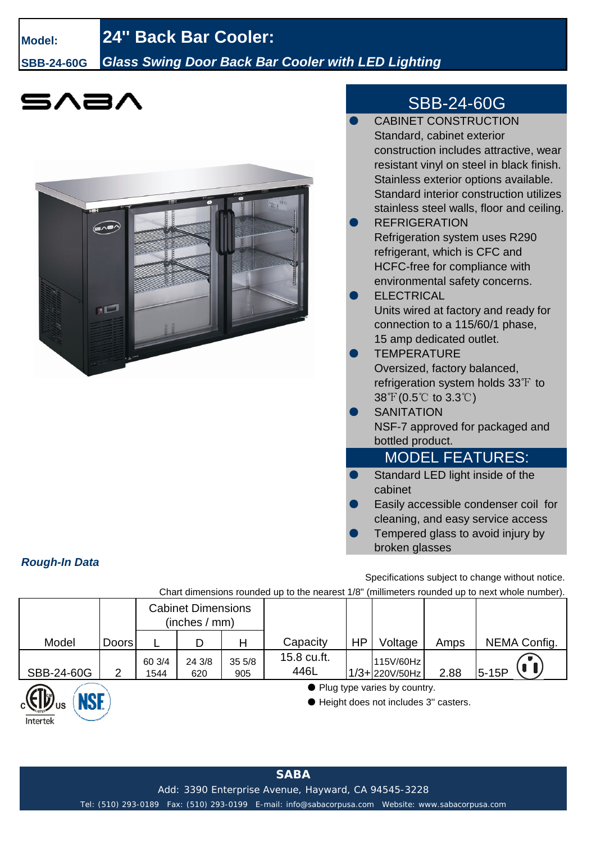# **Model: 24'' Back Bar Cooler:**

*Rough-In Data*

 $intertek$ 

### **SBB-24-60G** *Glass Swing Door Back Bar Cooler with LED Lighting*

# 5A2/



## SBB-24-60G

|    | <b>CABINET CONSTRUCTION</b>                                |
|----|------------------------------------------------------------|
|    | Standard, cabinet exterior                                 |
|    | construction includes attractive, wear                     |
|    | resistant vinyl on steel in black finish.                  |
|    | Stainless exterior options available.                      |
|    | Standard interior construction utilizes                    |
|    | stainless steel walls, floor and ceiling.                  |
|    | <b>REFRIGERATION</b>                                       |
|    | Refrigeration system uses R290                             |
|    | refrigerant, which is CFC and                              |
|    | HCFC-free for compliance with                              |
|    | environmental safety concerns.                             |
|    | <b>ELECTRICAL</b>                                          |
|    | Units wired at factory and ready for                       |
|    | connection to a 115/60/1 phase,                            |
|    | 15 amp dedicated outlet.                                   |
|    | <b>TEMPERATURE</b>                                         |
|    | Oversized, factory balanced,                               |
|    | refrigeration system holds $33\text{ }^{\circ}\text{F}$ to |
|    | $38^{\circ}$ (0.5°C to 3.3°C)                              |
|    | <b>SANITATION</b>                                          |
|    | NSF-7 approved for packaged and                            |
|    | bottled product.                                           |
|    | <u>MODEL FEATURES:</u>                                     |
| O) | Standard LED light inside of the                           |
|    | cabinet                                                    |
|    | Easily accessible condenser coil for                       |
|    | cleaning, and easy service access                          |
|    | Tempered glass to avoid injury by                          |

Specifications subject to change without notice.

broken glasses

Chart dimensions rounded up to the nearest 1/8" (millimeters rounded up to next whole number).

|                      |              | <b>Cabinet Dimensions</b><br>(inches / mm) |               |              |                     |    |                                                                          |      |              |  |
|----------------------|--------------|--------------------------------------------|---------------|--------------|---------------------|----|--------------------------------------------------------------------------|------|--------------|--|
| Model                | <b>Doors</b> |                                            | D             | Н            | Capacity            | HP | Voltage                                                                  | Amps | NEMA Config. |  |
| SBB-24-60G           | ⌒            | 60 3/4<br>1544                             | 24 3/8<br>620 | 355/8<br>905 | 15.8 cu.ft.<br>446L |    | 115V/60Hz<br>1/3+220V/50Hz                                               | 2.88 | $5-15P$      |  |
| $T_{\rm lim}$<br>NGE |              |                                            |               |              |                     |    | • Plug type varies by country.<br>● Height does not includes 3" casters. |      |              |  |

**SABA**